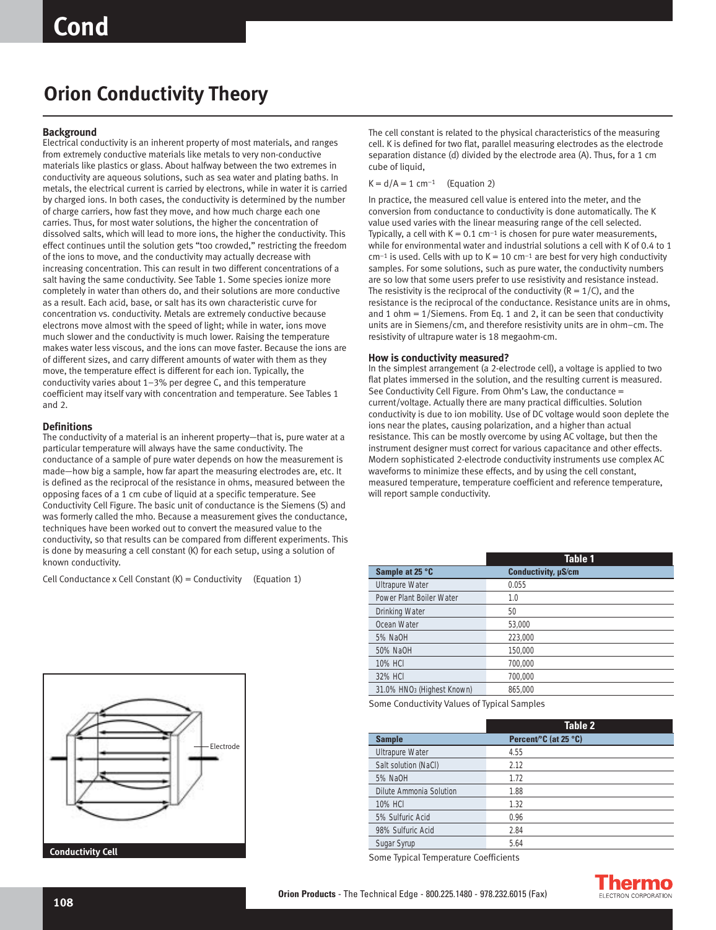# **Orion Conductivity Theory**

## **Background**

Electrical conductivity is an inherent property of most materials, and ranges from extremely conductive materials like metals to very non-conductive materials like plastics or glass. About halfway between the two extremes in conductivity are aqueous solutions, such as sea water and plating baths. In metals, the electrical current is carried by electrons, while in water it is carried by charged ions. In both cases, the conductivity is determined by the number of charge carriers, how fast they move, and how much charge each one carries. Thus, for most water solutions, the higher the concentration of dissolved salts, which will lead to more ions, the higher the conductivity. This effect continues until the solution gets "too crowded," restricting the freedom of the ions to move, and the conductivity may actually decrease with increasing concentration. This can result in two different concentrations of a salt having the same conductivity. See Table 1. Some species ionize more completely in water than others do, and their solutions are more conductive as a result. Each acid, base, or salt has its own characteristic curve for concentration vs. conductivity. Metals are extremely conductive because electrons move almost with the speed of light; while in water, ions move much slower and the conductivity is much lower. Raising the temperature makes water less viscous, and the ions can move faster. Because the ions are of different sizes, and carry different amounts of water with them as they move, the temperature effect is different for each ion. Typically, the conductivity varies about 1–3% per degree C, and this temperature coefficient may itself vary with concentration and temperature. See Tables 1 and 2.

#### **Definitions**

The conductivity of a material is an inherent property—that is, pure water at a particular temperature will always have the same conductivity. The conductance of a sample of pure water depends on how the measurement is made—how big a sample, how far apart the measuring electrodes are, etc. It is defined as the reciprocal of the resistance in ohms, measured between the opposing faces of a 1 cm cube of liquid at a specific temperature. See Conductivity Cell Figure. The basic unit of conductance is the Siemens (S) and was formerly called the mho. Because a measurement gives the conductance, techniques have been worked out to convert the measured value to the conductivity, so that results can be compared from different experiments. This is done by measuring a cell constant (K) for each setup, using a solution of known conductivity.

Cell Conductance x Cell Constant  $(K)$  = Conductivity (Equation 1)



The cell constant is related to the physical characteristics of the measuring cell. K is defined for two flat, parallel measuring electrodes as the electrode separation distance (d) divided by the electrode area (A). Thus, for a 1 cm cube of liquid,

# $K = d/A = 1$  cm<sup>-1</sup> (Equation 2)

In practice, the measured cell value is entered into the meter, and the conversion from conductance to conductivity is done automatically. The K value used varies with the linear measuring range of the cell selected. Typically, a cell with  $K = 0.1$  cm<sup>-1</sup> is chosen for pure water measurements, while for environmental water and industrial solutions a cell with K of 0.4 to 1  $cm^{-1}$  is used. Cells with up to  $K = 10$  cm<sup>-1</sup> are best for very high conductivity samples. For some solutions, such as pure water, the conductivity numbers are so low that some users prefer to use resistivity and resistance instead. The resistivity is the reciprocal of the conductivity  $(R = 1/C)$ , and the resistance is the reciprocal of the conductance. Resistance units are in ohms, and 1 ohm  $= 1/S$ iemens. From Eq. 1 and 2, it can be seen that conductivity units are in Siemens/cm, and therefore resistivity units are in ohm–cm. The resistivity of ultrapure water is 18 megaohm-cm.

## **How is conductivity measured?**

In the simplest arrangement (a 2-electrode cell), a voltage is applied to two flat plates immersed in the solution, and the resulting current is measured. See Conductivity Cell Figure. From Ohm's Law, the conductance = current/voltage. Actually there are many practical difficulties. Solution conductivity is due to ion mobility. Use of DC voltage would soon deplete the ions near the plates, causing polarization, and a higher than actual resistance. This can be mostly overcome by using AC voltage, but then the instrument designer must correct for various capacitance and other effects. Modern sophisticated 2-electrode conductivity instruments use complex AC waveforms to minimize these effects, and by using the cell constant, measured temperature, temperature coefficient and reference temperature, will report sample conductivity.

|                                        | <b>Table 1</b>      |
|----------------------------------------|---------------------|
| Sample at 25 °C                        | Conductivity, µS/cm |
| <b>Ultrapure Water</b>                 | 0.055               |
| Power Plant Boiler Water               | 1.0                 |
| Drinking Water                         | 50                  |
| Ocean Water                            | 53.000              |
| 5% NaOH                                | 223.000             |
| 50% NaOH                               | 150.000             |
| 10% HCI                                | 700.000             |
| 32% HCI                                | 700.000             |
| 31.0% HNO <sub>3</sub> (Highest Known) | 865.000             |
|                                        |                     |

Some Conductivity Values of Typical Samples

|                         | Table 2                           |
|-------------------------|-----------------------------------|
| <b>Sample</b>           | Percent <sup>o</sup> C (at 25 °C) |
| <b>Ultrapure Water</b>  | 4.55                              |
| Salt solution (NaCl)    | 2.12                              |
| 5% NaOH                 | 1.72                              |
| Dilute Ammonia Solution | 1.88                              |
| 10% HCI                 | 1.32                              |
| 5% Sulfuric Acid        | 0.96                              |
| 98% Sulfuric Acid       | 2.84                              |
| Sugar Syrup             | 5.64                              |

Some Typical Temperature Coefficients